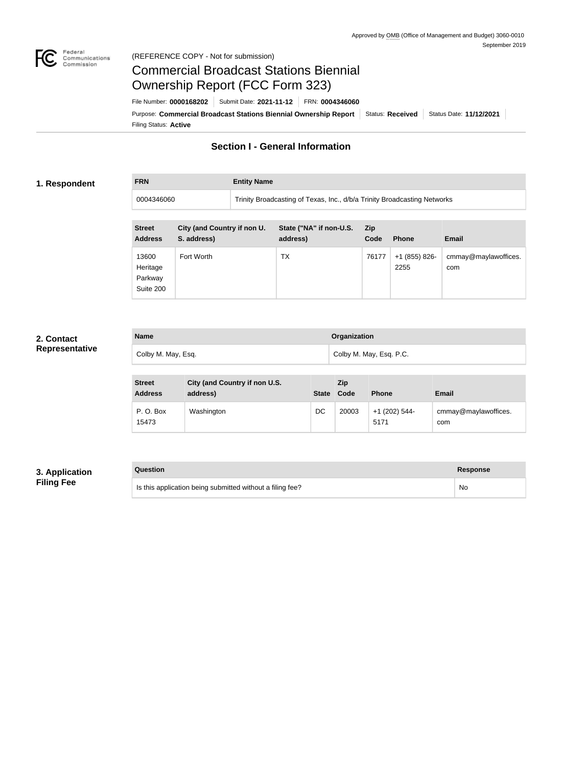

## Federal<br>Communications<br>Commission (REFERENCE COPY - Not for submission)

# Commercial Broadcast Stations Biennial Ownership Report (FCC Form 323)

**FRN Entity Name**

Filing Status: **Active** Purpose: Commercial Broadcast Stations Biennial Ownership Report Status: Received Status Date: 11/12/2021 File Number: **0000168202** Submit Date: **2021-11-12** FRN: **0004346060**

# **Section I - General Information**

## **1. Respondent**

0004346060 Trinity Broadcasting of Texas, Inc., d/b/a Trinity Broadcasting Networks

| <b>Street</b><br><b>Address</b>           | City (and Country if non U.<br>S. address) | State ("NA" if non-U.S.<br>address) | <b>Zip</b><br>Code | <b>Phone</b>          | <b>Email</b>                |
|-------------------------------------------|--------------------------------------------|-------------------------------------|--------------------|-----------------------|-----------------------------|
| 13600<br>Heritage<br>Parkway<br>Suite 200 | Fort Worth                                 | ТX                                  | 76177              | +1 (855) 826-<br>2255 | cmmay@maylawoffices.<br>com |

## **2. Contact Representative**

| <b>Name</b>        | <b>Organization</b>     |
|--------------------|-------------------------|
| Colby M. May, Esq. | Colby M. May, Esq. P.C. |

| <b>Street</b><br><b>Address</b> | City (and Country if non U.S.<br>address) | <b>State</b> | <b>Zip</b><br>Code | <b>Phone</b>          | <b>Email</b>                |
|---------------------------------|-------------------------------------------|--------------|--------------------|-----------------------|-----------------------------|
| P.O. Box<br>15473               | Washington                                | DC           | 20003              | +1 (202) 544-<br>5171 | cmmay@maylawoffices.<br>com |

## **3. Application Filing Fee**

| Question                                                  | <b>Response</b> |
|-----------------------------------------------------------|-----------------|
| Is this application being submitted without a filing fee? | No              |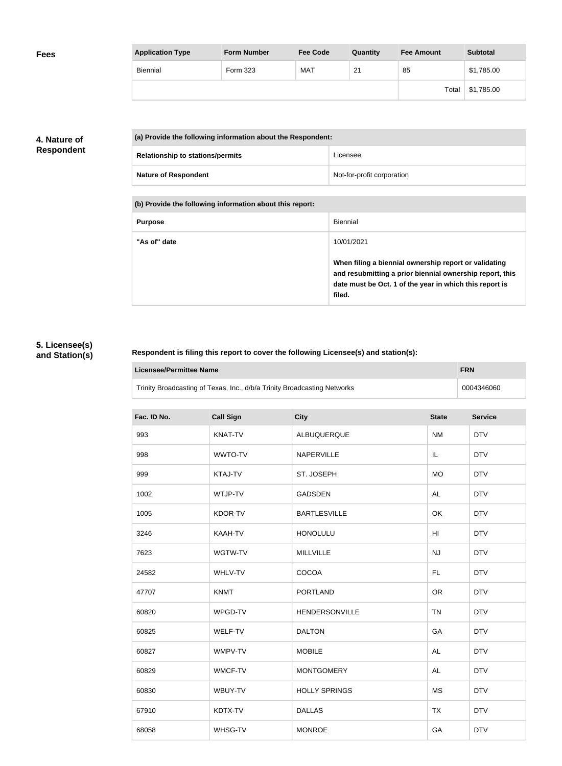| <b>Application Type</b> | <b>Form Number</b> | <b>Fee Code</b> | Quantity | <b>Fee Amount</b> | <b>Subtotal</b> |
|-------------------------|--------------------|-----------------|----------|-------------------|-----------------|
| Biennial                | Form 323           | <b>MAT</b>      | 21       | 85                | \$1,785.00      |
|                         |                    |                 |          | Total             | \$1,785.00      |

## **4. Nature of Respondent**

| (a) Provide the following information about the Respondent: |                            |
|-------------------------------------------------------------|----------------------------|
| <b>Relationship to stations/permits</b>                     | Licensee                   |
| <b>Nature of Respondent</b>                                 | Not-for-profit corporation |

**(b) Provide the following information about this report:**

| <b>Purpose</b> | Biennial                                                                                                                                                                               |
|----------------|----------------------------------------------------------------------------------------------------------------------------------------------------------------------------------------|
| "As of" date   | 10/01/2021                                                                                                                                                                             |
|                | When filing a biennial ownership report or validating<br>and resubmitting a prior biennial ownership report, this<br>date must be Oct. 1 of the year in which this report is<br>filed. |

## **5. Licensee(s) and Station(s)**

#### **Respondent is filing this report to cover the following Licensee(s) and station(s):**

| <b>Licensee/Permittee Name</b><br><b>FRN</b>                             |                                                 |                      |           |            |  |  |
|--------------------------------------------------------------------------|-------------------------------------------------|----------------------|-----------|------------|--|--|
| Trinity Broadcasting of Texas, Inc., d/b/a Trinity Broadcasting Networks |                                                 |                      |           | 0004346060 |  |  |
| Fac. ID No.                                                              | <b>Call Sign</b><br><b>City</b><br><b>State</b> |                      |           |            |  |  |
| 993                                                                      | KNAT-TV                                         | ALBUQUERQUE          | <b>NM</b> | <b>DTV</b> |  |  |
| 998                                                                      | WWTO-TV                                         | NAPERVILLE           | IL        | <b>DTV</b> |  |  |
| 999                                                                      | KTAJ-TV                                         | ST. JOSEPH           | <b>MO</b> | <b>DTV</b> |  |  |
| 1002                                                                     | WTJP-TV                                         | <b>GADSDEN</b>       | <b>AL</b> | <b>DTV</b> |  |  |
| 1005                                                                     | KDOR-TV                                         | <b>BARTLESVILLE</b>  | OK        | <b>DTV</b> |  |  |
| 3246                                                                     | KAAH-TV                                         | <b>HONOLULU</b>      | HI        | <b>DTV</b> |  |  |
| 7623                                                                     | WGTW-TV                                         | MILLVILLE            | NJ        | <b>DTV</b> |  |  |
| 24582                                                                    | WHLV-TV                                         | COCOA                | FL.       | <b>DTV</b> |  |  |
| 47707                                                                    | <b>KNMT</b>                                     | <b>PORTLAND</b>      | <b>OR</b> | <b>DTV</b> |  |  |
| 60820                                                                    | WPGD-TV                                         | HENDERSONVILLE       | <b>TN</b> | <b>DTV</b> |  |  |
| 60825                                                                    | WELF-TV                                         | <b>DALTON</b>        | GA        | <b>DTV</b> |  |  |
| 60827                                                                    | WMPV-TV                                         | <b>MOBILE</b>        | <b>AL</b> | <b>DTV</b> |  |  |
| 60829                                                                    | <b>WMCF-TV</b>                                  | <b>MONTGOMERY</b>    | <b>AL</b> | <b>DTV</b> |  |  |
| 60830                                                                    | WBUY-TV                                         | <b>HOLLY SPRINGS</b> | <b>MS</b> | <b>DTV</b> |  |  |
| 67910                                                                    | KDTX-TV                                         | <b>DALLAS</b>        | <b>TX</b> | <b>DTV</b> |  |  |
| 68058                                                                    | WHSG-TV                                         | <b>MONROE</b>        | GA        | <b>DTV</b> |  |  |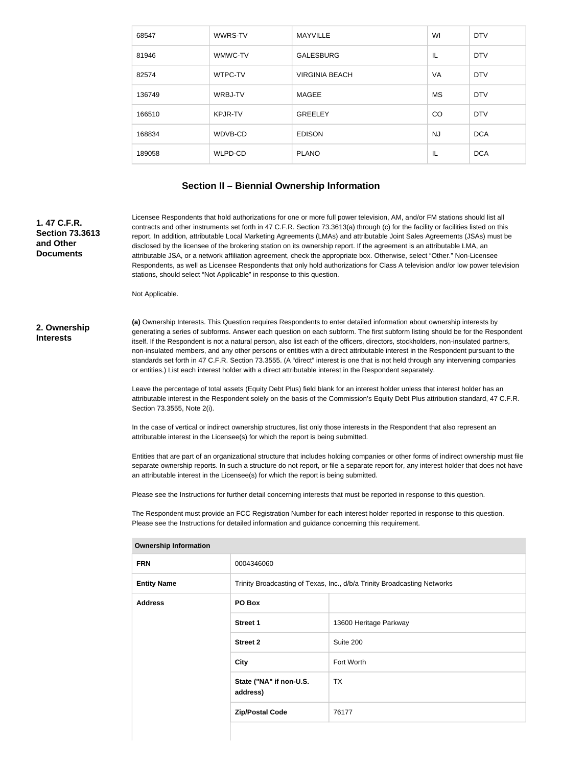| 68547  | WWRS-TV        | <b>MAYVILLE</b>       | WI        | <b>DTV</b> |
|--------|----------------|-----------------------|-----------|------------|
| 81946  | WMWC-TV        | <b>GALESBURG</b>      | IL        | <b>DTV</b> |
| 82574  | WTPC-TV        | <b>VIRGINIA BEACH</b> | VA        | <b>DTV</b> |
| 136749 | WRBJ-TV        | MAGEE                 | <b>MS</b> | <b>DTV</b> |
| 166510 | <b>KPJR-TV</b> | <b>GREELEY</b>        | CO        | <b>DTV</b> |
| 168834 | WDVB-CD        | <b>EDISON</b>         | <b>NJ</b> | <b>DCA</b> |
| 189058 | WLPD-CD        | <b>PLANO</b>          | IL        | <b>DCA</b> |

## **Section II – Biennial Ownership Information**

**1. 47 C.F.R. Section 73.3613 and Other Documents**

Licensee Respondents that hold authorizations for one or more full power television, AM, and/or FM stations should list all contracts and other instruments set forth in 47 C.F.R. Section 73.3613(a) through (c) for the facility or facilities listed on this report. In addition, attributable Local Marketing Agreements (LMAs) and attributable Joint Sales Agreements (JSAs) must be disclosed by the licensee of the brokering station on its ownership report. If the agreement is an attributable LMA, an attributable JSA, or a network affiliation agreement, check the appropriate box. Otherwise, select "Other." Non-Licensee Respondents, as well as Licensee Respondents that only hold authorizations for Class A television and/or low power television stations, should select "Not Applicable" in response to this question.

Not Applicable.

#### **2. Ownership Interests**

**(a)** Ownership Interests. This Question requires Respondents to enter detailed information about ownership interests by generating a series of subforms. Answer each question on each subform. The first subform listing should be for the Respondent itself. If the Respondent is not a natural person, also list each of the officers, directors, stockholders, non-insulated partners, non-insulated members, and any other persons or entities with a direct attributable interest in the Respondent pursuant to the standards set forth in 47 C.F.R. Section 73.3555. (A "direct" interest is one that is not held through any intervening companies or entities.) List each interest holder with a direct attributable interest in the Respondent separately.

Leave the percentage of total assets (Equity Debt Plus) field blank for an interest holder unless that interest holder has an attributable interest in the Respondent solely on the basis of the Commission's Equity Debt Plus attribution standard, 47 C.F.R. Section 73.3555, Note 2(i).

In the case of vertical or indirect ownership structures, list only those interests in the Respondent that also represent an attributable interest in the Licensee(s) for which the report is being submitted.

Entities that are part of an organizational structure that includes holding companies or other forms of indirect ownership must file separate ownership reports. In such a structure do not report, or file a separate report for, any interest holder that does not have an attributable interest in the Licensee(s) for which the report is being submitted.

Please see the Instructions for further detail concerning interests that must be reported in response to this question.

The Respondent must provide an FCC Registration Number for each interest holder reported in response to this question. Please see the Instructions for detailed information and guidance concerning this requirement.

| <b>FRN</b>         | 0004346060                          |                                                                          |  |
|--------------------|-------------------------------------|--------------------------------------------------------------------------|--|
| <b>Entity Name</b> |                                     | Trinity Broadcasting of Texas, Inc., d/b/a Trinity Broadcasting Networks |  |
| <b>Address</b>     | PO Box                              |                                                                          |  |
|                    | <b>Street 1</b>                     | 13600 Heritage Parkway                                                   |  |
|                    | <b>Street 2</b>                     | Suite 200                                                                |  |
|                    | <b>City</b>                         | Fort Worth                                                               |  |
|                    | State ("NA" if non-U.S.<br>address) | <b>TX</b>                                                                |  |
|                    | <b>Zip/Postal Code</b>              | 76177                                                                    |  |
|                    |                                     |                                                                          |  |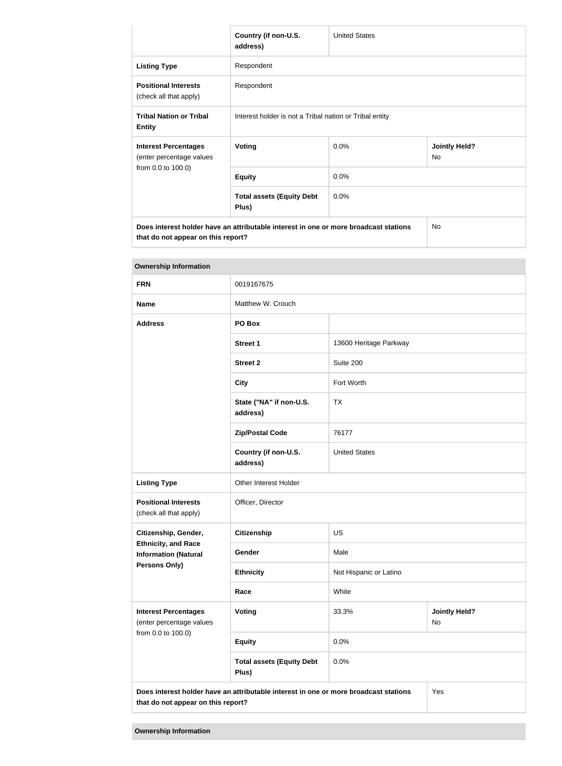|                                                         | Country (if non-U.S.<br>address)                                                     | <b>United States</b> |                            |  |
|---------------------------------------------------------|--------------------------------------------------------------------------------------|----------------------|----------------------------|--|
| <b>Listing Type</b>                                     | Respondent                                                                           |                      |                            |  |
| <b>Positional Interests</b><br>(check all that apply)   | Respondent                                                                           |                      |                            |  |
| <b>Tribal Nation or Tribal</b><br><b>Entity</b>         | Interest holder is not a Tribal nation or Tribal entity                              |                      |                            |  |
| <b>Interest Percentages</b><br>(enter percentage values | Voting                                                                               | 0.0%                 | <b>Jointly Held?</b><br>No |  |
| from 0.0 to 100.0)                                      | <b>Equity</b>                                                                        | 0.0%                 |                            |  |
|                                                         | <b>Total assets (Equity Debt</b><br>Plus)                                            | 0.0%                 |                            |  |
|                                                         | Does interest holder have an attributable interest in one or more broadcast stations |                      | <b>No</b>                  |  |

**that do not appear on this report?**

| <b>Ownership Information</b>                                                  |                                                                                      |                        |                            |
|-------------------------------------------------------------------------------|--------------------------------------------------------------------------------------|------------------------|----------------------------|
| <b>FRN</b>                                                                    | 0019167675                                                                           |                        |                            |
| <b>Name</b>                                                                   | Matthew W. Crouch                                                                    |                        |                            |
| <b>Address</b>                                                                | PO Box                                                                               |                        |                            |
|                                                                               | <b>Street 1</b>                                                                      | 13600 Heritage Parkway |                            |
|                                                                               | <b>Street 2</b>                                                                      | Suite 200              |                            |
|                                                                               | <b>City</b>                                                                          | Fort Worth             |                            |
|                                                                               | State ("NA" if non-U.S.<br>address)                                                  | <b>TX</b>              |                            |
|                                                                               | <b>Zip/Postal Code</b>                                                               | 76177                  |                            |
|                                                                               | Country (if non-U.S.<br>address)                                                     | <b>United States</b>   |                            |
| <b>Listing Type</b>                                                           | Other Interest Holder                                                                |                        |                            |
| <b>Positional Interests</b><br>(check all that apply)                         | Officer, Director                                                                    |                        |                            |
| Citizenship, Gender,                                                          | <b>Citizenship</b>                                                                   | <b>US</b>              |                            |
| <b>Ethnicity, and Race</b><br><b>Information (Natural</b>                     | Gender                                                                               | Male                   |                            |
| <b>Persons Only)</b>                                                          | <b>Ethnicity</b>                                                                     | Not Hispanic or Latino |                            |
|                                                                               | Race                                                                                 | White                  |                            |
| <b>Interest Percentages</b><br>(enter percentage values<br>from 0.0 to 100.0) | Voting                                                                               | 33.3%                  | <b>Jointly Held?</b><br>No |
|                                                                               | <b>Equity</b>                                                                        | 0.0%                   |                            |
|                                                                               | <b>Total assets (Equity Debt</b><br>Plus)                                            | 0.0%                   |                            |
| that do not appear on this report?                                            | Does interest holder have an attributable interest in one or more broadcast stations |                        | Yes                        |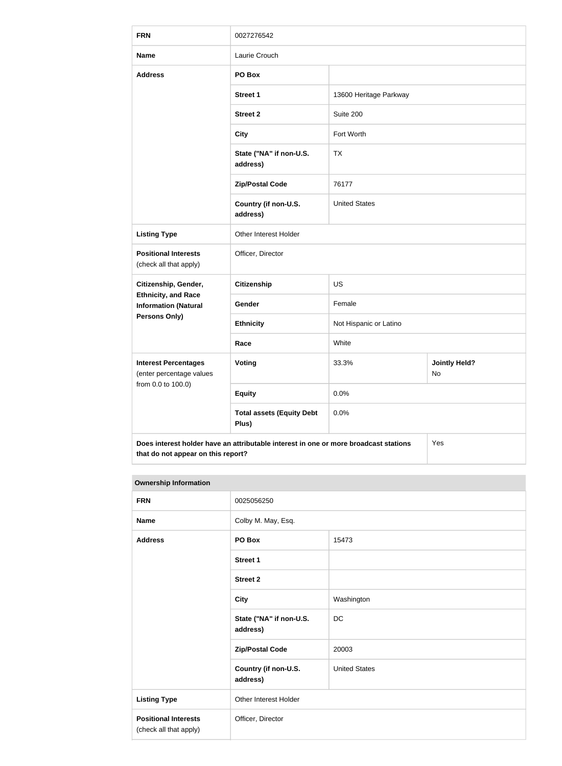| <b>FRN</b>                                                                    | 0027276542                                                                           |                        |                            |
|-------------------------------------------------------------------------------|--------------------------------------------------------------------------------------|------------------------|----------------------------|
| <b>Name</b>                                                                   | Laurie Crouch                                                                        |                        |                            |
| <b>Address</b>                                                                | PO Box                                                                               |                        |                            |
|                                                                               | <b>Street 1</b>                                                                      | 13600 Heritage Parkway |                            |
|                                                                               | <b>Street 2</b>                                                                      | Suite 200              |                            |
|                                                                               | <b>City</b>                                                                          | Fort Worth             |                            |
|                                                                               | State ("NA" if non-U.S.<br>address)                                                  | <b>TX</b>              |                            |
|                                                                               | <b>Zip/Postal Code</b>                                                               | 76177                  |                            |
|                                                                               | Country (if non-U.S.<br>address)                                                     | <b>United States</b>   |                            |
| <b>Listing Type</b>                                                           | Other Interest Holder                                                                |                        |                            |
| <b>Positional Interests</b><br>(check all that apply)                         | Officer, Director                                                                    |                        |                            |
| Citizenship, Gender,                                                          | <b>Citizenship</b>                                                                   | <b>US</b>              |                            |
| <b>Ethnicity, and Race</b><br><b>Information (Natural</b>                     | Gender                                                                               | Female                 |                            |
| <b>Persons Only)</b>                                                          | <b>Ethnicity</b>                                                                     | Not Hispanic or Latino |                            |
|                                                                               | Race                                                                                 | White                  |                            |
| <b>Interest Percentages</b><br>(enter percentage values<br>from 0.0 to 100.0) | <b>Voting</b>                                                                        | 33.3%                  | <b>Jointly Held?</b><br>No |
|                                                                               | <b>Equity</b>                                                                        | 0.0%                   |                            |
|                                                                               | <b>Total assets (Equity Debt</b><br>Plus)                                            | 0.0%                   |                            |
| that do not appear on this report?                                            | Does interest holder have an attributable interest in one or more broadcast stations |                        | Yes                        |

| <b>FRN</b>                                            | 0025056250                          |                      |
|-------------------------------------------------------|-------------------------------------|----------------------|
| <b>Name</b>                                           | Colby M. May, Esq.                  |                      |
| <b>Address</b>                                        | PO Box                              | 15473                |
|                                                       | Street 1                            |                      |
|                                                       | <b>Street 2</b>                     |                      |
|                                                       | <b>City</b>                         | Washington           |
|                                                       | State ("NA" if non-U.S.<br>address) | DC                   |
|                                                       | <b>Zip/Postal Code</b>              | 20003                |
|                                                       | Country (if non-U.S.<br>address)    | <b>United States</b> |
| <b>Listing Type</b>                                   | Other Interest Holder               |                      |
| <b>Positional Interests</b><br>(check all that apply) | Officer, Director                   |                      |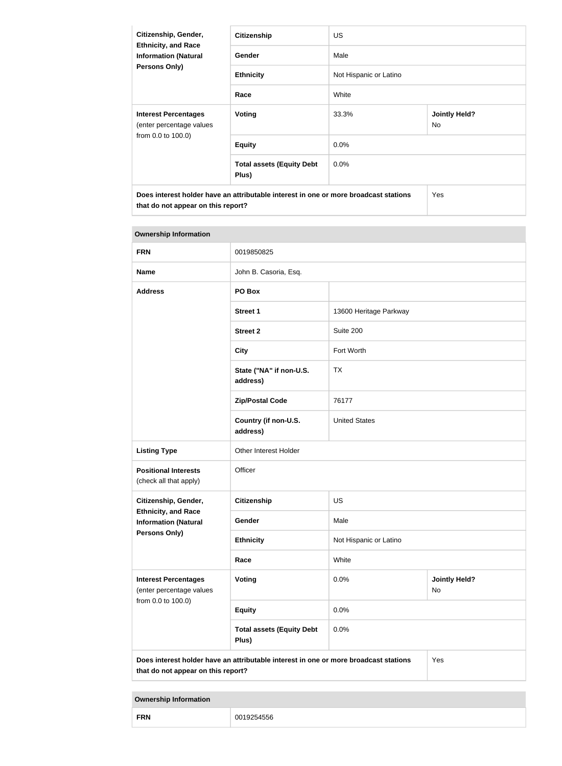| Citizenship, Gender,<br><b>Ethnicity, and Race</b><br><b>Information (Natural</b><br><b>Persons Only)</b>                  | <b>Citizenship</b>                        | <b>US</b>              |                            |
|----------------------------------------------------------------------------------------------------------------------------|-------------------------------------------|------------------------|----------------------------|
|                                                                                                                            | <b>Gender</b>                             | Male                   |                            |
|                                                                                                                            | <b>Ethnicity</b>                          | Not Hispanic or Latino |                            |
|                                                                                                                            | Race                                      | White                  |                            |
| <b>Interest Percentages</b><br>(enter percentage values                                                                    | Voting                                    | 33.3%                  | <b>Jointly Held?</b><br>No |
| from 0.0 to 100.0)                                                                                                         | <b>Equity</b>                             | $0.0\%$                |                            |
|                                                                                                                            | <b>Total assets (Equity Debt</b><br>Plus) | $0.0\%$                |                            |
| Does interest holder have an attributable interest in one or more broadcast stations<br>that do not appear on this report? |                                           |                        | Yes                        |

| <b>Ownership Information</b>                                                  |                                                                                      |                                           |     |
|-------------------------------------------------------------------------------|--------------------------------------------------------------------------------------|-------------------------------------------|-----|
| <b>FRN</b>                                                                    | 0019850825                                                                           |                                           |     |
| <b>Name</b>                                                                   | John B. Casoria, Esq.                                                                |                                           |     |
| <b>Address</b>                                                                | PO Box                                                                               |                                           |     |
|                                                                               | <b>Street 1</b>                                                                      | 13600 Heritage Parkway                    |     |
|                                                                               | <b>Street 2</b>                                                                      | Suite 200                                 |     |
|                                                                               | <b>City</b>                                                                          | Fort Worth                                |     |
|                                                                               | State ("NA" if non-U.S.<br>address)                                                  | <b>TX</b>                                 |     |
|                                                                               | <b>Zip/Postal Code</b>                                                               | 76177                                     |     |
|                                                                               | Country (if non-U.S.<br>address)                                                     | <b>United States</b>                      |     |
| <b>Listing Type</b>                                                           | Other Interest Holder                                                                |                                           |     |
| <b>Positional Interests</b><br>(check all that apply)                         | Officer                                                                              |                                           |     |
| Citizenship, Gender,                                                          | <b>Citizenship</b>                                                                   | <b>US</b>                                 |     |
| <b>Ethnicity, and Race</b><br><b>Information (Natural</b>                     | Gender                                                                               | Male                                      |     |
| <b>Persons Only)</b>                                                          | <b>Ethnicity</b>                                                                     | Not Hispanic or Latino                    |     |
|                                                                               | Race                                                                                 | White                                     |     |
| <b>Interest Percentages</b><br>(enter percentage values<br>from 0.0 to 100.0) | <b>Voting</b>                                                                        | 0.0%<br><b>Jointly Held?</b><br><b>No</b> |     |
|                                                                               | <b>Equity</b>                                                                        | 0.0%                                      |     |
|                                                                               | <b>Total assets (Equity Debt</b><br>Plus)                                            | 0.0%                                      |     |
| that do not appear on this report?                                            | Does interest holder have an attributable interest in one or more broadcast stations |                                           | Yes |

| <b>CDN</b><br>. |  |
|-----------------|--|
|-----------------|--|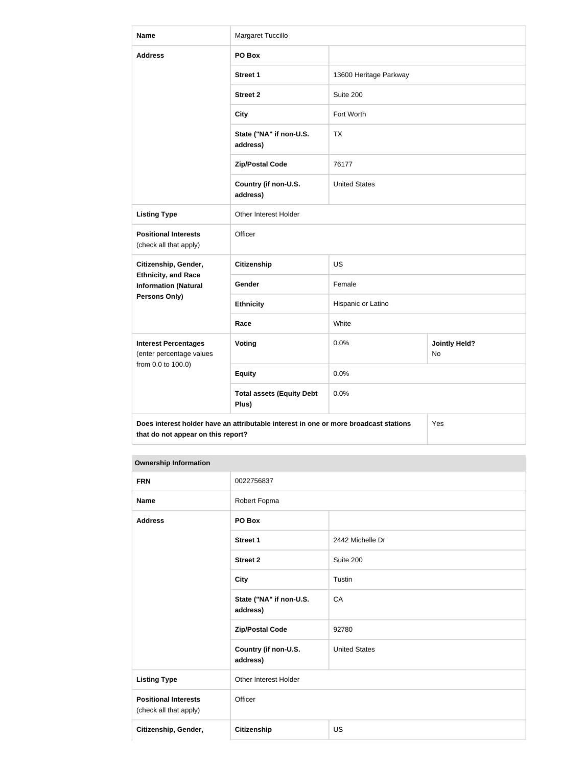| <b>Name</b>                                                                   | Margaret Tuccillo                                                                    |                        |                            |
|-------------------------------------------------------------------------------|--------------------------------------------------------------------------------------|------------------------|----------------------------|
| <b>Address</b>                                                                | PO Box                                                                               |                        |                            |
|                                                                               | <b>Street 1</b>                                                                      | 13600 Heritage Parkway |                            |
|                                                                               | <b>Street 2</b>                                                                      | Suite 200              |                            |
|                                                                               | <b>City</b>                                                                          | Fort Worth             |                            |
|                                                                               | State ("NA" if non-U.S.<br>address)                                                  | <b>TX</b>              |                            |
|                                                                               | <b>Zip/Postal Code</b>                                                               | 76177                  |                            |
|                                                                               | Country (if non-U.S.<br>address)                                                     | <b>United States</b>   |                            |
| <b>Listing Type</b>                                                           | Other Interest Holder                                                                |                        |                            |
| <b>Positional Interests</b><br>(check all that apply)                         | Officer                                                                              |                        |                            |
| Citizenship, Gender,                                                          | <b>Citizenship</b>                                                                   | <b>US</b>              |                            |
| <b>Ethnicity, and Race</b><br><b>Information (Natural</b>                     | Gender                                                                               | Female                 |                            |
| <b>Persons Only)</b>                                                          | <b>Ethnicity</b>                                                                     | Hispanic or Latino     |                            |
|                                                                               | Race                                                                                 | White                  |                            |
| <b>Interest Percentages</b><br>(enter percentage values<br>from 0.0 to 100.0) | <b>Voting</b>                                                                        | 0.0%                   | <b>Jointly Held?</b><br>No |
|                                                                               | <b>Equity</b>                                                                        | 0.0%                   |                            |
|                                                                               | <b>Total assets (Equity Debt</b><br>Plus)                                            | 0.0%                   |                            |
| that do not appear on this report?                                            | Does interest holder have an attributable interest in one or more broadcast stations |                        | Yes                        |

| <b>FRN</b>                                            | 0022756837                          |                      |
|-------------------------------------------------------|-------------------------------------|----------------------|
| <b>Name</b>                                           | Robert Fopma                        |                      |
| <b>Address</b>                                        | PO Box                              |                      |
|                                                       | <b>Street 1</b>                     | 2442 Michelle Dr     |
|                                                       | <b>Street 2</b>                     | Suite 200            |
|                                                       | <b>City</b>                         | Tustin               |
|                                                       | State ("NA" if non-U.S.<br>address) | CA                   |
|                                                       | <b>Zip/Postal Code</b>              | 92780                |
|                                                       | Country (if non-U.S.<br>address)    | <b>United States</b> |
| <b>Listing Type</b>                                   | Other Interest Holder               |                      |
| <b>Positional Interests</b><br>(check all that apply) | Officer                             |                      |
| Citizenship, Gender,                                  | <b>Citizenship</b>                  | <b>US</b>            |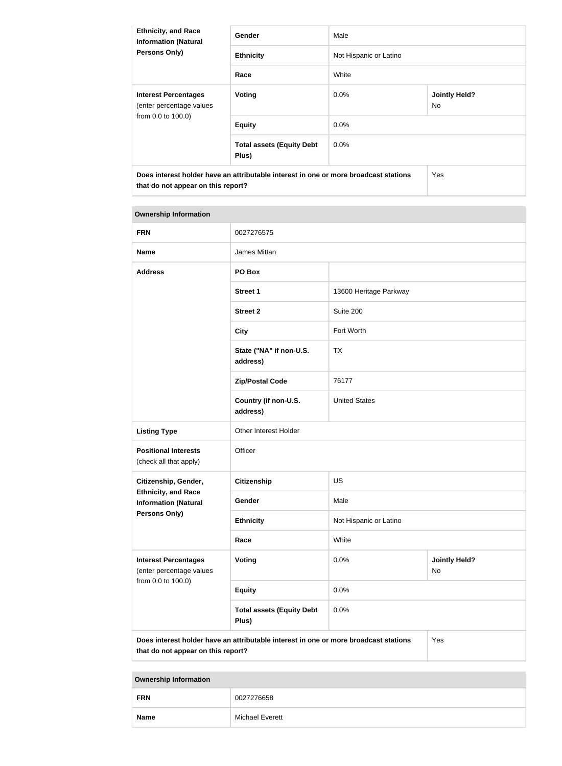| <b>Ethnicity, and Race</b><br><b>Information (Natural</b><br><b>Persons Only)</b>                                          | <b>Gender</b>                             | Male                   |                             |
|----------------------------------------------------------------------------------------------------------------------------|-------------------------------------------|------------------------|-----------------------------|
|                                                                                                                            | <b>Ethnicity</b>                          | Not Hispanic or Latino |                             |
|                                                                                                                            | Race                                      | White                  |                             |
| <b>Interest Percentages</b><br>(enter percentage values<br>from 0.0 to 100.0)                                              | Voting                                    | $0.0\%$                | <b>Jointly Held?</b><br>No. |
|                                                                                                                            | <b>Equity</b>                             | $0.0\%$                |                             |
|                                                                                                                            | <b>Total assets (Equity Debt</b><br>Plus) | $0.0\%$                |                             |
| Does interest holder have an attributable interest in one or more broadcast stations<br>that do not appear on this report? |                                           |                        | Yes                         |

# **Ownership Information FRN** 0027276575 **Name James Mittan Address PO Box Street 1** 13600 Heritage Parkway **Street 2** Suite 200 **City Fort Worth State ("NA" if non-U.S. address)** TX Zip/Postal Code 76177 **Country (if non-U.S. address)** United States **Listing Type Other Interest Holder Positional Interests** (check all that apply) **Officer Citizenship, Gender, Ethnicity, and Race Information (Natural Persons Only) Citizenship** US Gender Male **Ethnicity** Not Hispanic or Latino **Race** White **Interest Percentages** (enter percentage values from 0.0 to 100.0) **Voting Voting Jointly Held?** No **Equity** 0.0% **Total assets (Equity Debt Plus)** 0.0% **Does interest holder have an attributable interest in one or more broadcast stations**  Yes

**Ownership Information**

**that do not appear on this report?**

| <b>FRN</b>  | 0027276658             |  |
|-------------|------------------------|--|
| <b>Name</b> | <b>Michael Everett</b> |  |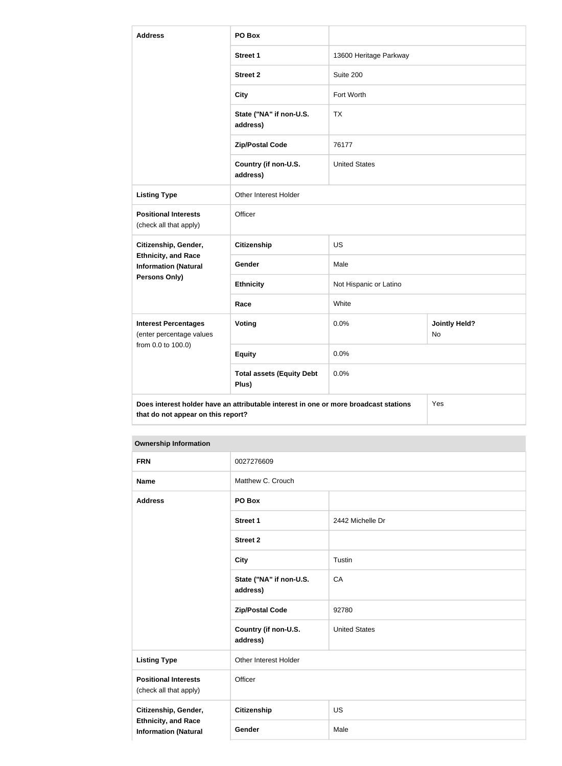| <b>Address</b>                                                                                                                    | PO Box                                    |                        |                                   |
|-----------------------------------------------------------------------------------------------------------------------------------|-------------------------------------------|------------------------|-----------------------------------|
|                                                                                                                                   | <b>Street 1</b>                           | 13600 Heritage Parkway |                                   |
|                                                                                                                                   | <b>Street 2</b>                           | Suite 200              |                                   |
|                                                                                                                                   | <b>City</b>                               | Fort Worth             |                                   |
|                                                                                                                                   | State ("NA" if non-U.S.<br>address)       | <b>TX</b>              |                                   |
|                                                                                                                                   | <b>Zip/Postal Code</b>                    | 76177                  |                                   |
|                                                                                                                                   | Country (if non-U.S.<br>address)          | <b>United States</b>   |                                   |
| <b>Listing Type</b>                                                                                                               | Other Interest Holder                     |                        |                                   |
| <b>Positional Interests</b><br>(check all that apply)                                                                             | Officer                                   |                        |                                   |
| Citizenship, Gender,                                                                                                              | <b>Citizenship</b>                        | <b>US</b>              |                                   |
| <b>Ethnicity, and Race</b><br><b>Information (Natural</b>                                                                         | Gender                                    | Male                   |                                   |
| Persons Only)                                                                                                                     | <b>Ethnicity</b>                          | Not Hispanic or Latino |                                   |
|                                                                                                                                   | Race                                      | White                  |                                   |
| <b>Interest Percentages</b><br>(enter percentage values<br>from 0.0 to 100.0)                                                     | Voting                                    | 0.0%                   | <b>Jointly Held?</b><br><b>No</b> |
|                                                                                                                                   | <b>Equity</b>                             | 0.0%                   |                                   |
|                                                                                                                                   | <b>Total assets (Equity Debt</b><br>Plus) | 0.0%                   |                                   |
| Does interest holder have an attributable interest in one or more broadcast stations<br>Yes<br>that do not appear on this report? |                                           |                        |                                   |

| <b>FRN</b>                                                                        | 0027276609                          |                      |
|-----------------------------------------------------------------------------------|-------------------------------------|----------------------|
| <b>Name</b>                                                                       | Matthew C. Crouch                   |                      |
| <b>Address</b>                                                                    | PO Box                              |                      |
|                                                                                   | Street 1                            | 2442 Michelle Dr     |
|                                                                                   | <b>Street 2</b>                     |                      |
|                                                                                   | <b>City</b>                         | Tustin               |
|                                                                                   | State ("NA" if non-U.S.<br>address) | CA                   |
|                                                                                   | <b>Zip/Postal Code</b>              | 92780                |
|                                                                                   | Country (if non-U.S.<br>address)    | <b>United States</b> |
| <b>Listing Type</b>                                                               | Other Interest Holder               |                      |
| <b>Positional Interests</b><br>(check all that apply)                             | Officer                             |                      |
| Citizenship, Gender,<br><b>Ethnicity, and Race</b><br><b>Information (Natural</b> | <b>Citizenship</b>                  | <b>US</b>            |
|                                                                                   | Gender                              | Male                 |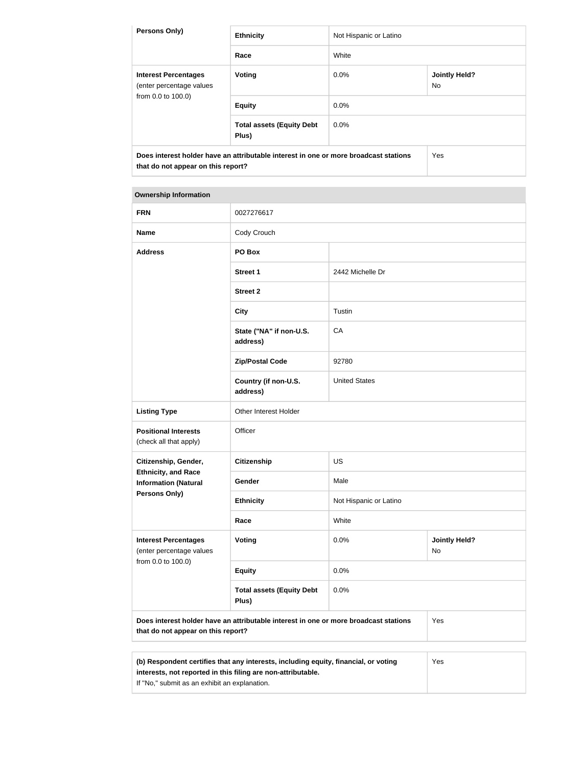| <b>Persons Only)</b>                                                                                                       | <b>Ethnicity</b>                          | Not Hispanic or Latino                 |  |  |
|----------------------------------------------------------------------------------------------------------------------------|-------------------------------------------|----------------------------------------|--|--|
|                                                                                                                            | Race                                      | White                                  |  |  |
| <b>Interest Percentages</b><br>(enter percentage values<br>from 0.0 to 100.0)                                              | Voting                                    | <b>Jointly Held?</b><br>$0.0\%$<br>No. |  |  |
|                                                                                                                            | <b>Equity</b>                             | $0.0\%$                                |  |  |
|                                                                                                                            | <b>Total assets (Equity Debt</b><br>Plus) | $0.0\%$                                |  |  |
| Does interest holder have an attributable interest in one or more broadcast stations<br>that do not appear on this report? |                                           | Yes                                    |  |  |

the contract of the contract of the contract of

| <b>FRN</b>                                                | 0027276617                                                                           |                        |                            |
|-----------------------------------------------------------|--------------------------------------------------------------------------------------|------------------------|----------------------------|
| <b>Name</b>                                               | Cody Crouch                                                                          |                        |                            |
| <b>Address</b>                                            | PO Box                                                                               |                        |                            |
|                                                           | <b>Street 1</b>                                                                      | 2442 Michelle Dr       |                            |
|                                                           | <b>Street 2</b>                                                                      |                        |                            |
|                                                           | <b>City</b>                                                                          | Tustin                 |                            |
|                                                           | State ("NA" if non-U.S.<br>address)                                                  | CA                     |                            |
|                                                           | <b>Zip/Postal Code</b>                                                               | 92780                  |                            |
|                                                           | Country (if non-U.S.<br>address)                                                     | <b>United States</b>   |                            |
| <b>Listing Type</b>                                       | Other Interest Holder                                                                |                        |                            |
| <b>Positional Interests</b><br>(check all that apply)     | Officer                                                                              |                        |                            |
| Citizenship, Gender,                                      | <b>Citizenship</b>                                                                   | <b>US</b>              |                            |
| <b>Ethnicity, and Race</b><br><b>Information (Natural</b> | Gender                                                                               | Male                   |                            |
| <b>Persons Only)</b>                                      | <b>Ethnicity</b>                                                                     | Not Hispanic or Latino |                            |
|                                                           | Race                                                                                 | White                  |                            |
| <b>Interest Percentages</b><br>(enter percentage values   | Voting                                                                               | 0.0%                   | <b>Jointly Held?</b><br>No |
| from 0.0 to 100.0)                                        | <b>Equity</b>                                                                        | 0.0%                   |                            |
|                                                           | <b>Total assets (Equity Debt</b><br>Plus)                                            | 0.0%                   |                            |
| that do not appear on this report?                        | Does interest holder have an attributable interest in one or more broadcast stations |                        | Yes                        |

| (b) Respondent certifies that any interests, including equity, financial, or voting | Yes. |
|-------------------------------------------------------------------------------------|------|
| interests, not reported in this filing are non-attributable.                        |      |
| If "No," submit as an exhibit an explanation.                                       |      |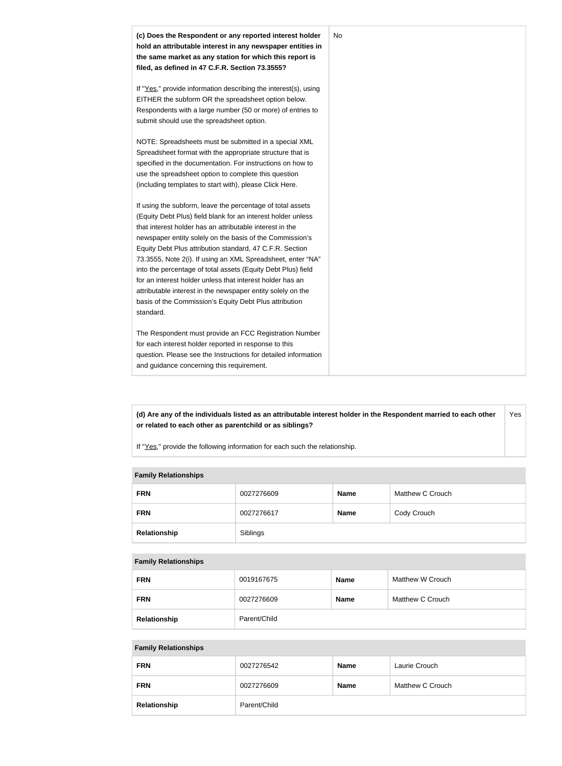

**(d) Are any of the individuals listed as an attributable interest holder in the Respondent married to each other or related to each other as parentchild or as siblings?** Yes

If "Yes," provide the following information for each such the relationship.

#### **Family Relationships**

| <b>FRN</b>   | 0027276609 | <b>Name</b> | Matthew C Crouch |
|--------------|------------|-------------|------------------|
| <b>FRN</b>   | 0027276617 | <b>Name</b> | Cody Crouch      |
| Relationship | Siblings   |             |                  |

#### **Family Relationships**

| <b>FRN</b>   | 0019167675   | <b>Name</b> | Matthew W Crouch |
|--------------|--------------|-------------|------------------|
| <b>FRN</b>   | 0027276609   | <b>Name</b> | Matthew C Crouch |
| Relationship | Parent/Child |             |                  |

#### **Family Relationships**

| <b>FRN</b>   | 0027276542   | <b>Name</b> | Laurie Crouch    |
|--------------|--------------|-------------|------------------|
| <b>FRN</b>   | 0027276609   | <b>Name</b> | Matthew C Crouch |
| Relationship | Parent/Child |             |                  |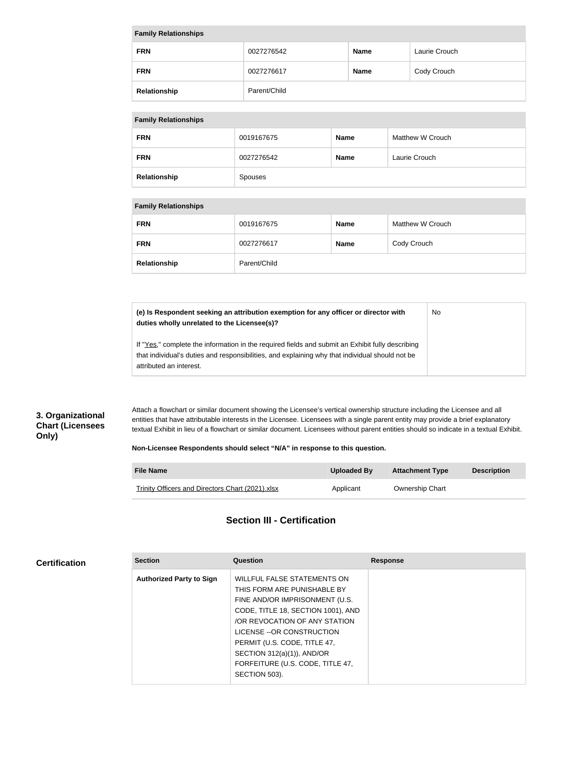| <b>Family Relationships</b> |              |             |               |  |
|-----------------------------|--------------|-------------|---------------|--|
| <b>FRN</b>                  | 0027276542   | <b>Name</b> | Laurie Crouch |  |
| <b>FRN</b>                  | 0027276617   | <b>Name</b> | Cody Crouch   |  |
| Relationship                | Parent/Child |             |               |  |

## **Family Relationships**

| <b>FRN</b>   | 0019167675     | <b>Name</b> | Matthew W Crouch |
|--------------|----------------|-------------|------------------|
| <b>FRN</b>   | 0027276542     | <b>Name</b> | Laurie Crouch    |
| Relationship | <b>Spouses</b> |             |                  |

#### **Family Relationships**

| <b>FRN</b>   | 0019167675   | <b>Name</b> | Matthew W Crouch |
|--------------|--------------|-------------|------------------|
| <b>FRN</b>   | 0027276617   | <b>Name</b> | Cody Crouch      |
| Relationship | Parent/Child |             |                  |

**(e) Is Respondent seeking an attribution exemption for any officer or director with duties wholly unrelated to the Licensee(s)?** No

If "Yes," complete the information in the required fields and submit an Exhibit fully describing that individual's duties and responsibilities, and explaining why that individual should not be attributed an interest.

## **3. Organizational Chart (Licensees Only)**

**Certification**

Attach a flowchart or similar document showing the Licensee's vertical ownership structure including the Licensee and all entities that have attributable interests in the Licensee. Licensees with a single parent entity may provide a brief explanatory textual Exhibit in lieu of a flowchart or similar document. Licensees without parent entities should so indicate in a textual Exhibit.

#### **Non-Licensee Respondents should select "N/A" in response to this question.**

| <b>File Name</b>                                 | Uploaded By | <b>Attachment Type</b> | <b>Description</b> |
|--------------------------------------------------|-------------|------------------------|--------------------|
| Trinity Officers and Directors Chart (2021).xlsx | Applicant   | <b>Ownership Chart</b> |                    |

## **Section III - Certification**

| <b>Section</b>                  | Question                           | <b>Response</b> |
|---------------------------------|------------------------------------|-----------------|
| <b>Authorized Party to Sign</b> | WILLFUL FALSE STATEMENTS ON        |                 |
|                                 | THIS FORM ARE PUNISHABLE BY        |                 |
|                                 | FINE AND/OR IMPRISONMENT (U.S.     |                 |
|                                 | CODE, TITLE 18, SECTION 1001), AND |                 |
|                                 | OR REVOCATION OF ANY STATION       |                 |
|                                 | LICENSE -- OR CONSTRUCTION         |                 |
|                                 | PERMIT (U.S. CODE, TITLE 47,       |                 |
|                                 | SECTION 312(a)(1)), AND/OR         |                 |
|                                 | FORFEITURE (U.S. CODE, TITLE 47,   |                 |
|                                 | SECTION 503).                      |                 |
|                                 |                                    |                 |